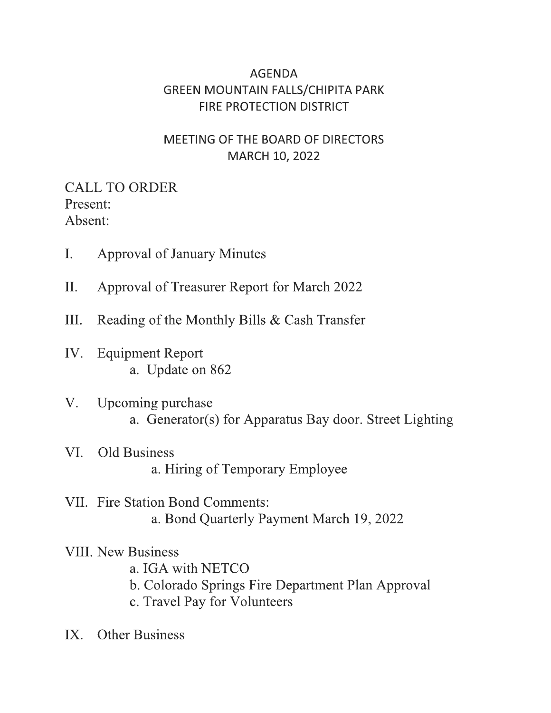## **AGENDA GREEN MOUNTAIN FALLS/CHIPITA PARK FIRE PROTECTION DISTRICT**

# MEETING OF THE BOARD OF DIRECTORS MARCH 10, 2022

**CALL TO ORDER** Present: Absent:

- **Approval of January Minutes**  $\mathbf{I}$ .
- Approval of Treasurer Report for March 2022  $II.$
- III. Reading of the Monthly Bills & Cash Transfer
- **Equipment Report** IV. a. Update on 862
- V. Upcoming purchase a. Generator(s) for Apparatus Bay door. Street Lighting
- **Old Business** VI. a. Hiring of Temporary Employee
- VII. Fire Station Bond Comments: a. Bond Quarterly Payment March 19, 2022
- **VIII. New Business** 
	- a. IGA with NETCO
	- b. Colorado Springs Fire Department Plan Approval
	- c. Travel Pay for Volunteers
- IX. Other Business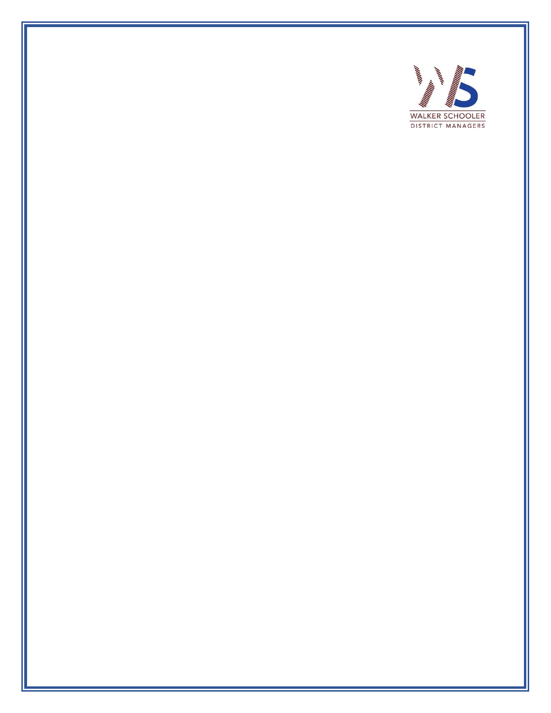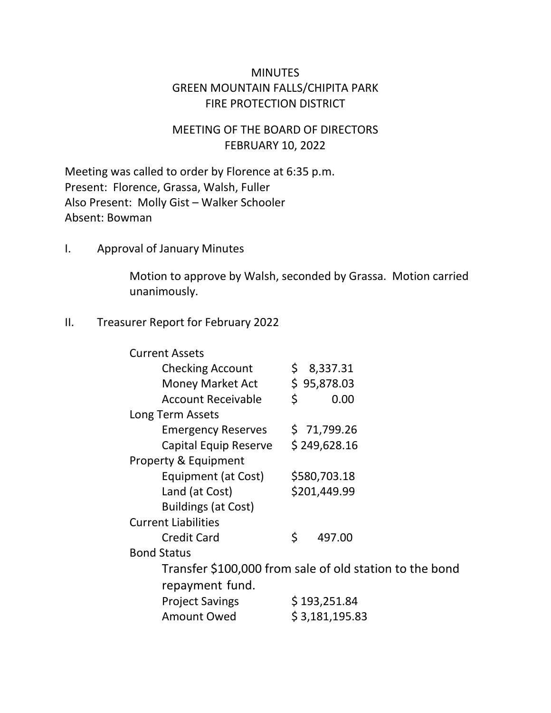### **MINUTES** GREEN MOUNTAIN FALLS/CHIPITA PARK FIRE PROTECTION DISTRICT

## MEETING OF THE BOARD OF DIRECTORS FEBRUARY 10, 2022

Meeting was called to order by Florence at 6:35 p.m. Present: Florence, Grassa, Walsh, Fuller Also Present: Molly Gist – Walker Schooler Absent: Bowman

I. Approval of January Minutes

Motion to approve by Walsh, seconded by Grassa. Motion carried unanimously.

#### II. Treasurer Report for February 2022

| <b>Current Assets</b>      |                                                         |
|----------------------------|---------------------------------------------------------|
| <b>Checking Account</b>    | \$8,337.31                                              |
| <b>Money Market Act</b>    | \$95,878.03                                             |
| <b>Account Receivable</b>  | \$<br>0.00                                              |
| Long Term Assets           |                                                         |
| <b>Emergency Reserves</b>  | \$71,799.26                                             |
| Capital Equip Reserve      | \$249,628.16                                            |
| Property & Equipment       |                                                         |
| Equipment (at Cost)        | \$580,703.18                                            |
| Land (at Cost)             | \$201,449.99                                            |
| <b>Buildings (at Cost)</b> |                                                         |
| <b>Current Liabilities</b> |                                                         |
| <b>Credit Card</b>         | \$<br>497.00                                            |
| <b>Bond Status</b>         |                                                         |
|                            | Transfer \$100,000 from sale of old station to the bond |
| repayment fund.            |                                                         |
| <b>Project Savings</b>     | \$193,251.84                                            |
| <b>Amount Owed</b>         | \$3,181,195.83                                          |
|                            |                                                         |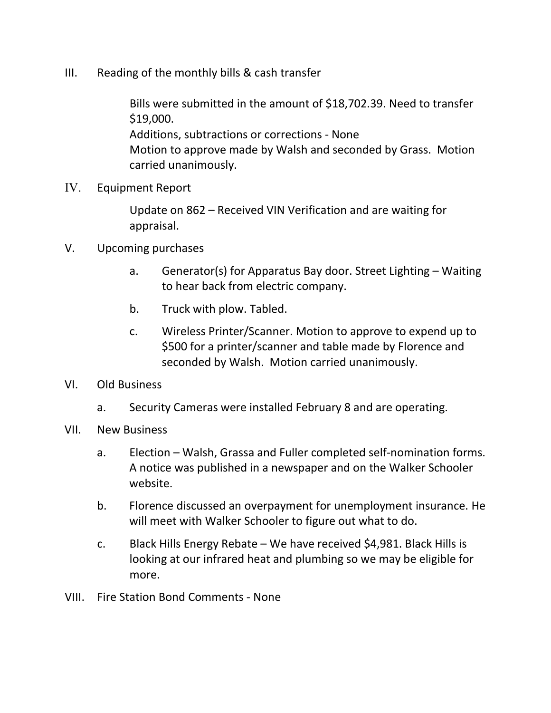III. Reading of the monthly bills & cash transfer

Bills were submitted in the amount of \$18,702.39. Need to transfer \$19,000. Additions, subtractions or corrections - None Motion to approve made by Walsh and seconded by Grass. Motion carried unanimously.

IV. Equipment Report

Update on 862 – Received VIN Verification and are waiting for appraisal.

- V. Upcoming purchases
	- a. Generator(s) for Apparatus Bay door. Street Lighting Waiting to hear back from electric company.
	- b. Truck with plow. Tabled.
	- c. Wireless Printer/Scanner. Motion to approve to expend up to \$500 for a printer/scanner and table made by Florence and seconded by Walsh. Motion carried unanimously.
- VI. Old Business
	- a. Security Cameras were installed February 8 and are operating.
- VII. New Business
	- a. Election Walsh, Grassa and Fuller completed self-nomination forms. A notice was published in a newspaper and on the Walker Schooler website.
	- b. Florence discussed an overpayment for unemployment insurance. He will meet with Walker Schooler to figure out what to do.
	- c. Black Hills Energy Rebate We have received \$4,981. Black Hills is looking at our infrared heat and plumbing so we may be eligible for more.
- VIII. Fire Station Bond Comments None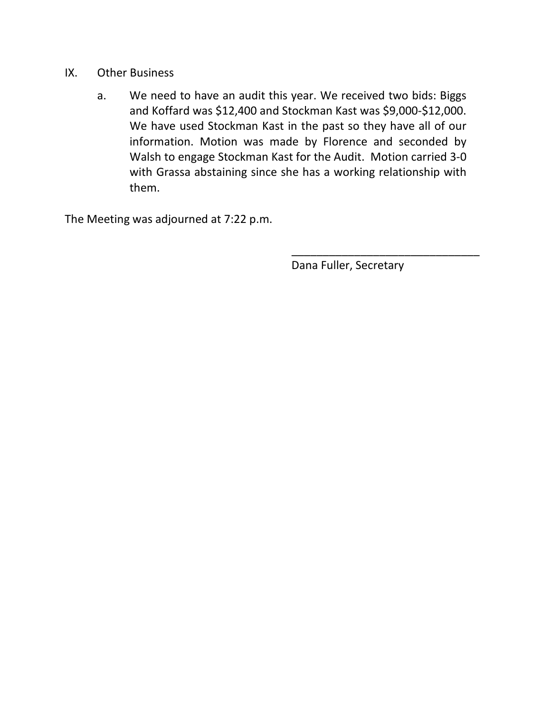- IX. Other Business
	- a. We need to have an audit this year. We received two bids: Biggs and Koffard was \$12,400 and Stockman Kast was \$9,000-\$12,000. We have used Stockman Kast in the past so they have all of our information. Motion was made by Florence and seconded by Walsh to engage Stockman Kast for the Audit. Motion carried 3-0 with Grassa abstaining since she has a working relationship with them.

The Meeting was adjourned at 7:22 p.m.

Dana Fuller, Secretary

\_\_\_\_\_\_\_\_\_\_\_\_\_\_\_\_\_\_\_\_\_\_\_\_\_\_\_\_\_\_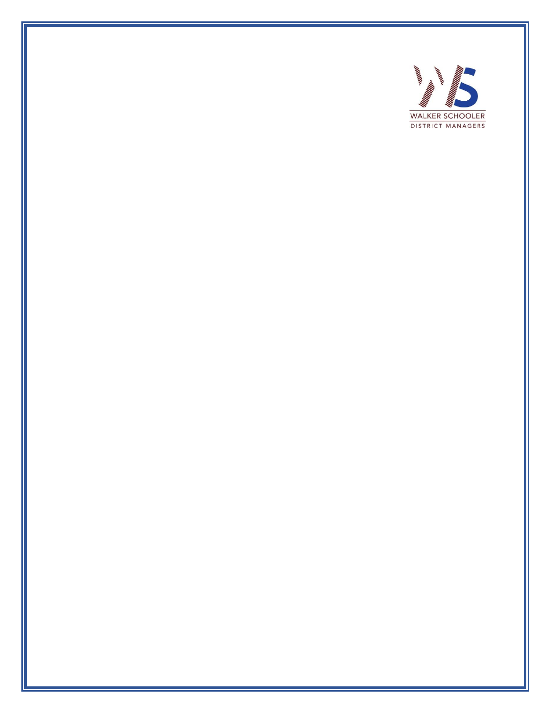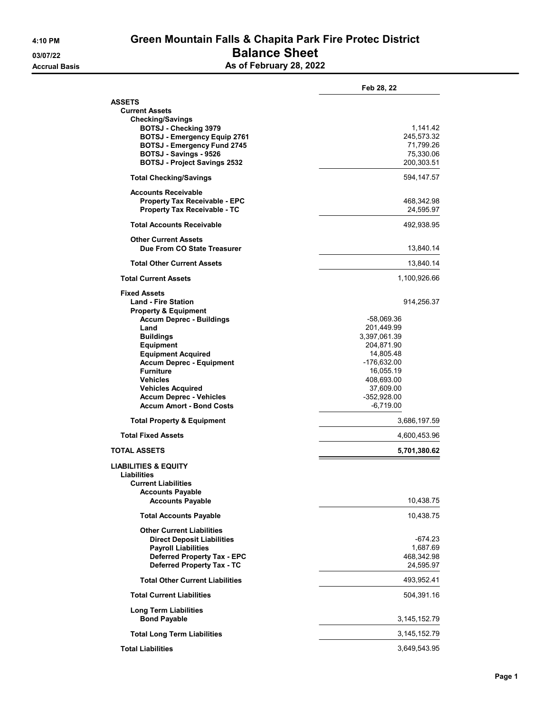### 4:10 PM Green Mountain Falls & Chapita Park Fire Protec District 03/07/22 Balance Sheet Accrual Basis **Accrual Basis** As of February 28, 2022

|                                                   | Feb 28, 22      |
|---------------------------------------------------|-----------------|
| <b>ASSETS</b>                                     |                 |
| <b>Current Assets</b>                             |                 |
| <b>Checking/Savings</b>                           |                 |
| BOTSJ - Checking 3979                             | 1,141.42        |
| <b>BOTSJ - Emergency Equip 2761</b>               | 245,573.32      |
| <b>BOTSJ - Emergency Fund 2745</b>                | 71,799.26       |
| BOTSJ - Savings - 9526                            | 75,330.06       |
| <b>BOTSJ - Project Savings 2532</b>               | 200,303.51      |
| <b>Total Checking/Savings</b>                     | 594,147.57      |
| <b>Accounts Receivable</b>                        |                 |
| <b>Property Tax Receivable - EPC</b>              | 468,342.98      |
| Property Tax Receivable - TC                      | 24,595.97       |
| <b>Total Accounts Receivable</b>                  | 492,938.95      |
| <b>Other Current Assets</b>                       |                 |
| Due From CO State Treasurer                       | 13,840.14       |
| <b>Total Other Current Assets</b>                 | 13,840.14       |
| <b>Total Current Assets</b>                       | 1,100,926.66    |
|                                                   |                 |
| <b>Fixed Assets</b><br><b>Land - Fire Station</b> | 914,256.37      |
| <b>Property &amp; Equipment</b>                   |                 |
| <b>Accum Deprec - Buildings</b>                   | -58,069.36      |
| Land                                              | 201,449.99      |
| <b>Buildings</b>                                  | 3,397,061.39    |
| <b>Equipment</b>                                  | 204,871.90      |
| <b>Equipment Acquired</b>                         | 14,805.48       |
| <b>Accum Deprec - Equipment</b>                   | -176,632.00     |
| <b>Furniture</b>                                  | 16,055.19       |
| <b>Vehicles</b>                                   | 408,693.00      |
| <b>Vehicles Acquired</b>                          | 37,609.00       |
| <b>Accum Deprec - Vehicles</b>                    | -352,928.00     |
| <b>Accum Amort - Bond Costs</b>                   | $-6,719.00$     |
| <b>Total Property &amp; Equipment</b>             | 3,686,197.59    |
| <b>Total Fixed Assets</b>                         | 4,600,453.96    |
| <b>TOTAL ASSETS</b>                               | 5,701,380.62    |
| <b>LIABILITIES &amp; EQUITY</b>                   |                 |
| Liabilities                                       |                 |
| <b>Current Liabilities</b>                        |                 |
| <b>Accounts Payable</b>                           |                 |
| <b>Accounts Payable</b>                           | 10,438.75       |
| <b>Total Accounts Payable</b>                     | 10,438.75       |
| <b>Other Current Liabilities</b>                  |                 |
| <b>Direct Deposit Liabilities</b>                 | -674.23         |
| <b>Payroll Liabilities</b>                        | 1,687.69        |
| <b>Deferred Property Tax - EPC</b>                | 468,342.98      |
| <b>Deferred Property Tax - TC</b>                 | 24,595.97       |
| <b>Total Other Current Liabilities</b>            | 493,952.41      |
| <b>Total Current Liabilities</b>                  | 504,391.16      |
| <b>Long Term Liabilities</b>                      |                 |
| <b>Bond Payable</b>                               | 3, 145, 152. 79 |
|                                                   |                 |
| <b>Total Long Term Liabilities</b>                | 3,145,152.79    |
| <b>Total Liabilities</b>                          | 3,649,543.95    |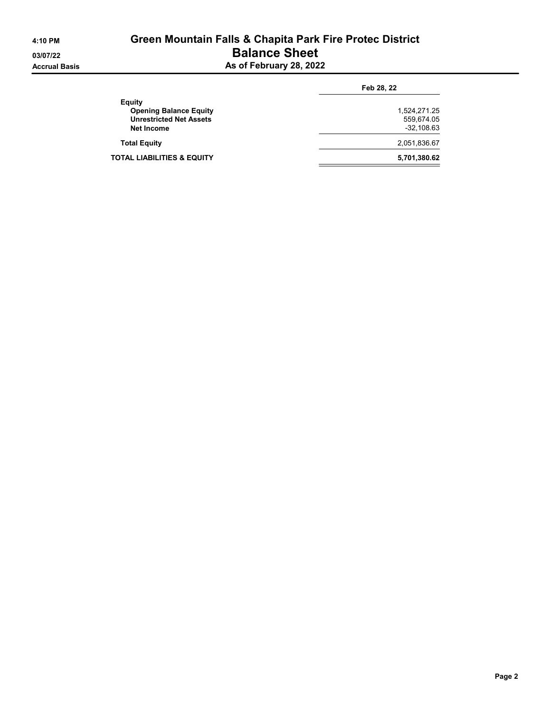#### 4:10 PM Green Mountain Falls & Chapita Park Fire Protec District 03/07/22 Balance Sheet Accrual Basis **As of February 28, 2022**

| Feb 28, 22                                 |  |  |
|--------------------------------------------|--|--|
| 1,524,271.25<br>559,674.05<br>$-32,108.63$ |  |  |
| 2,051,836.67                               |  |  |
| 5,701,380.62                               |  |  |
|                                            |  |  |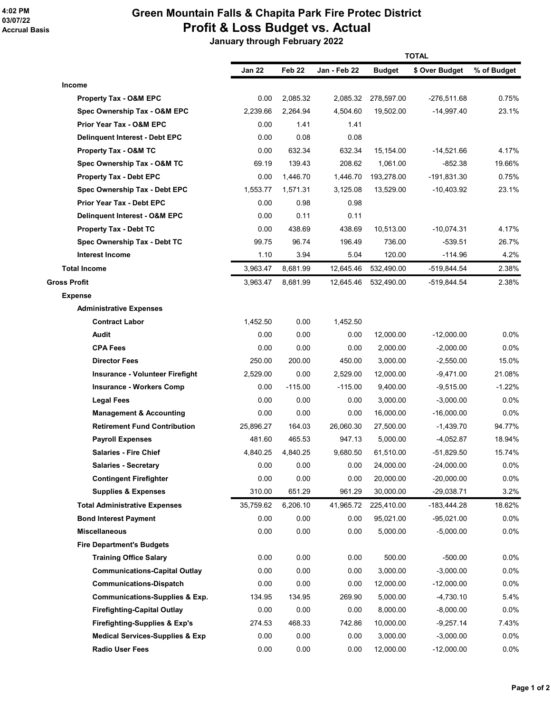# Green Mountain Falls & Chapita Park Fire Protec District Profit & Loss Budget vs. Actual

January through February 2022

|                                            | <b>TOTAL</b>  |                   |              |               |                |             |  |
|--------------------------------------------|---------------|-------------------|--------------|---------------|----------------|-------------|--|
|                                            | <b>Jan 22</b> | Feb <sub>22</sub> | Jan - Feb 22 | <b>Budget</b> | \$ Over Budget | % of Budget |  |
| <b>Income</b>                              |               |                   |              |               |                |             |  |
| Property Tax - O&M EPC                     | 0.00          | 2,085.32          | 2,085.32     | 278,597.00    | $-276,511.68$  | 0.75%       |  |
| Spec Ownership Tax - O&M EPC               | 2,239.66      | 2,264.94          | 4,504.60     | 19,502.00     | $-14,997.40$   | 23.1%       |  |
| Prior Year Tax - O&M EPC                   | 0.00          | 1.41              | 1.41         |               |                |             |  |
| <b>Delinquent Interest - Debt EPC</b>      | 0.00          | 0.08              | 0.08         |               |                |             |  |
| Property Tax - O&M TC                      | 0.00          | 632.34            | 632.34       | 15,154.00     | $-14,521.66$   | 4.17%       |  |
| Spec Ownership Tax - O&M TC                | 69.19         | 139.43            | 208.62       | 1,061.00      | -852.38        | 19.66%      |  |
| <b>Property Tax - Debt EPC</b>             | 0.00          | 1,446.70          | 1,446.70     | 193,278.00    | $-191,831.30$  | 0.75%       |  |
| Spec Ownership Tax - Debt EPC              | 1,553.77      | 1,571.31          | 3,125.08     | 13,529.00     | $-10,403.92$   | 23.1%       |  |
| <b>Prior Year Tax - Debt EPC</b>           | 0.00          | 0.98              | 0.98         |               |                |             |  |
| Delinquent Interest - O&M EPC              | 0.00          | 0.11              | 0.11         |               |                |             |  |
| <b>Property Tax - Debt TC</b>              | 0.00          | 438.69            | 438.69       | 10,513.00     | $-10,074.31$   | 4.17%       |  |
| Spec Ownership Tax - Debt TC               | 99.75         | 96.74             | 196.49       | 736.00        | $-539.51$      | 26.7%       |  |
| <b>Interest Income</b>                     | 1.10          | 3.94              | 5.04         | 120.00        | $-114.96$      | 4.2%        |  |
| <b>Total Income</b>                        | 3,963.47      | 8,681.99          | 12,645.46    | 532,490.00    | -519,844.54    | 2.38%       |  |
| Gross Profit                               | 3,963.47      | 8,681.99          | 12,645.46    | 532,490.00    | -519,844.54    | 2.38%       |  |
| <b>Expense</b>                             |               |                   |              |               |                |             |  |
| <b>Administrative Expenses</b>             |               |                   |              |               |                |             |  |
| <b>Contract Labor</b>                      | 1,452.50      | 0.00              | 1,452.50     |               |                |             |  |
| Audit                                      | 0.00          | 0.00              | 0.00         | 12,000.00     | $-12,000.00$   | 0.0%        |  |
| <b>CPA Fees</b>                            | 0.00          | 0.00              | 0.00         | 2,000.00      | $-2,000.00$    | 0.0%        |  |
| <b>Director Fees</b>                       | 250.00        | 200.00            | 450.00       | 3,000.00      | $-2,550.00$    | 15.0%       |  |
| Insurance - Volunteer Firefight            | 2,529.00      | 0.00              | 2,529.00     | 12,000.00     | $-9,471.00$    | 21.08%      |  |
| <b>Insurance - Workers Comp</b>            | 0.00          | $-115.00$         | $-115.00$    | 9,400.00      | -9,515.00      | $-1.22%$    |  |
| <b>Legal Fees</b>                          | 0.00          | 0.00              | 0.00         | 3,000.00      | $-3,000.00$    | 0.0%        |  |
| <b>Management &amp; Accounting</b>         | 0.00          | 0.00              | 0.00         | 16,000.00     | $-16,000.00$   | 0.0%        |  |
| <b>Retirement Fund Contribution</b>        | 25,896.27     | 164.03            | 26,060.30    | 27,500.00     | $-1,439.70$    | 94.77%      |  |
| <b>Payroll Expenses</b>                    | 481.60        | 465.53            | 947.13       | 5,000.00      | $-4,052.87$    | 18.94%      |  |
| <b>Salaries - Fire Chief</b>               | 4.840.25      | 4,840.25          | 9.680.50     | 61,510.00     | $-51,829.50$   | 15.74%      |  |
| <b>Salaries - Secretary</b>                | 0.00          | 0.00              | 0.00         | 24,000.00     | $-24,000.00$   | $0.0\%$     |  |
| <b>Contingent Firefighter</b>              | 0.00          | 0.00              | 0.00         | 20,000.00     | $-20,000.00$   | $0.0\%$     |  |
| <b>Supplies &amp; Expenses</b>             | 310.00        | 651.29            | 961.29       | 30,000.00     | -29,038.71     | 3.2%        |  |
| <b>Total Administrative Expenses</b>       | 35,759.62     | 6,206.10          | 41,965.72    | 225,410.00    | $-183,444.28$  | 18.62%      |  |
| <b>Bond Interest Payment</b>               | 0.00          | 0.00              | 0.00         | 95,021.00     | $-95,021.00$   | $0.0\%$     |  |
| <b>Miscellaneous</b>                       | 0.00          | 0.00              | 0.00         | 5,000.00      | $-5,000.00$    | 0.0%        |  |
| <b>Fire Department's Budgets</b>           |               |                   |              |               |                |             |  |
| <b>Training Office Salary</b>              | 0.00          | 0.00              | 0.00         | 500.00        | $-500.00$      | 0.0%        |  |
| <b>Communications-Capital Outlay</b>       | 0.00          | 0.00              | 0.00         | 3,000.00      | $-3,000.00$    | $0.0\%$     |  |
| <b>Communications-Dispatch</b>             | 0.00          | 0.00              | 0.00         | 12,000.00     | $-12,000.00$   | $0.0\%$     |  |
| <b>Communications-Supplies &amp; Exp.</b>  | 134.95        | 134.95            | 269.90       | 5,000.00      | $-4,730.10$    | 5.4%        |  |
| <b>Firefighting-Capital Outlay</b>         | 0.00          | 0.00              | 0.00         | 8,000.00      | $-8,000.00$    | $0.0\%$     |  |
| <b>Firefighting-Supplies &amp; Exp's</b>   | 274.53        | 468.33            | 742.86       | 10,000.00     | $-9,257.14$    | 7.43%       |  |
| <b>Medical Services-Supplies &amp; Exp</b> | 0.00          | 0.00              | 0.00         | 3,000.00      | $-3,000.00$    | $0.0\%$     |  |
| <b>Radio User Fees</b>                     | 0.00          | 0.00              | 0.00         | 12,000.00     | $-12,000.00$   | $0.0\%$     |  |
|                                            |               |                   |              |               |                |             |  |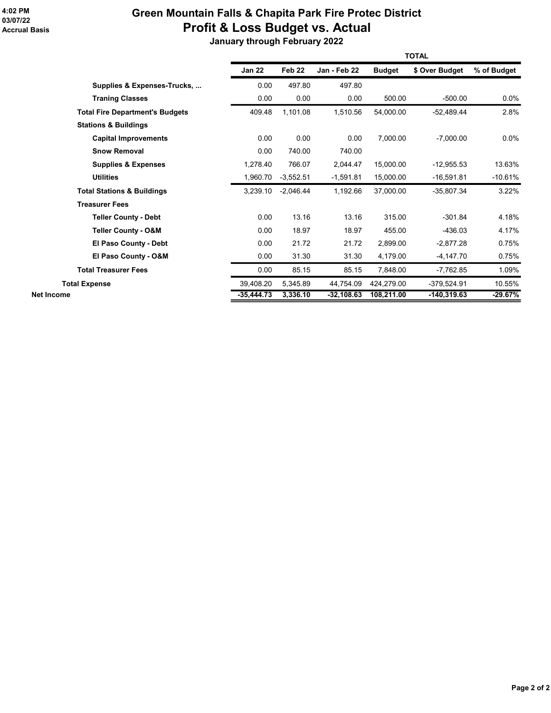#### 4:02 PM 03/07/22 Accrual Basis

# Green Mountain Falls & Chapita Park Fire Protec District Profit & Loss Budget vs. Actual

January through February 2022

|                                        | <b>TOTAL</b>  |             |               |               |                |             |
|----------------------------------------|---------------|-------------|---------------|---------------|----------------|-------------|
|                                        | <b>Jan 22</b> | Feb 22      | Jan - Feb 22  | <b>Budget</b> | \$ Over Budget | % of Budget |
| Supplies & Expenses-Trucks,            | 0.00          | 497.80      | 497.80        |               |                |             |
| <b>Traning Classes</b>                 | 0.00          | 0.00        | 0.00          | 500.00        | $-500.00$      | $0.0\%$     |
| <b>Total Fire Department's Budgets</b> | 409.48        | 1,101.08    | 1,510.56      | 54,000.00     | $-52,489.44$   | 2.8%        |
| <b>Stations &amp; Buildings</b>        |               |             |               |               |                |             |
| <b>Capital Improvements</b>            | 0.00          | 0.00        | 0.00          | 7,000.00      | $-7,000.00$    | $0.0\%$     |
| <b>Snow Removal</b>                    | 0.00          | 740.00      | 740.00        |               |                |             |
| <b>Supplies &amp; Expenses</b>         | 1,278.40      | 766.07      | 2,044.47      | 15,000.00     | $-12,955.53$   | 13.63%      |
| <b>Utilities</b>                       | 1,960.70      | $-3,552.51$ | $-1,591.81$   | 15,000.00     | $-16,591.81$   | $-10.61%$   |
| <b>Total Stations &amp; Buildings</b>  | 3,239.10      | $-2,046.44$ | 1,192.66      | 37,000.00     | $-35,807.34$   | 3.22%       |
| <b>Treasurer Fees</b>                  |               |             |               |               |                |             |
| <b>Teller County - Debt</b>            | 0.00          | 13.16       | 13.16         | 315.00        | $-301.84$      | 4.18%       |
| <b>Teller County - O&amp;M</b>         | 0.00          | 18.97       | 18.97         | 455.00        | $-436.03$      | 4.17%       |
| El Paso County - Debt                  | 0.00          | 21.72       | 21.72         | 2,899.00      | $-2,877.28$    | 0.75%       |
| El Paso County - O&M                   | 0.00          | 31.30       | 31.30         | 4,179.00      | $-4,147.70$    | 0.75%       |
| <b>Total Treasurer Fees</b>            | 0.00          | 85.15       | 85.15         | 7,848.00      | $-7,762.85$    | 1.09%       |
| <b>Total Expense</b>                   | 39,408.20     | 5.345.89    | 44.754.09     | 424,279.00    | -379.524.91    | 10.55%      |
| <b>Net Income</b>                      | $-35,444.73$  | 3,336.10    | $-32, 108.63$ | 108,211.00    | $-140,319.63$  | $-29.67%$   |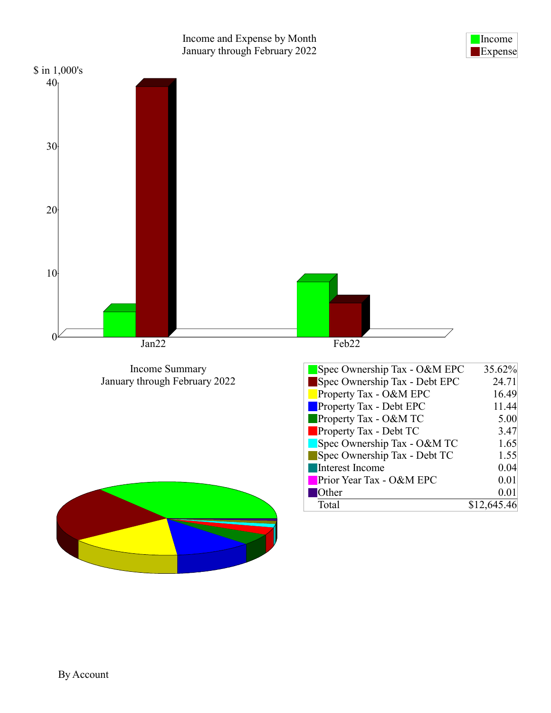

Income **Expense** 

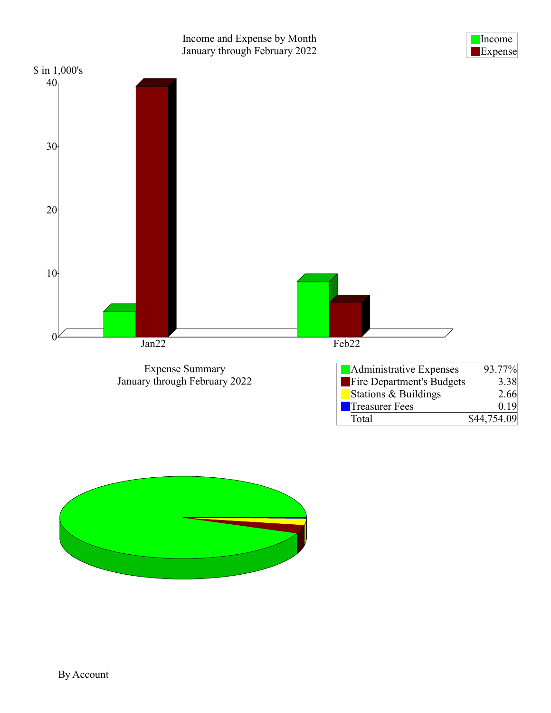

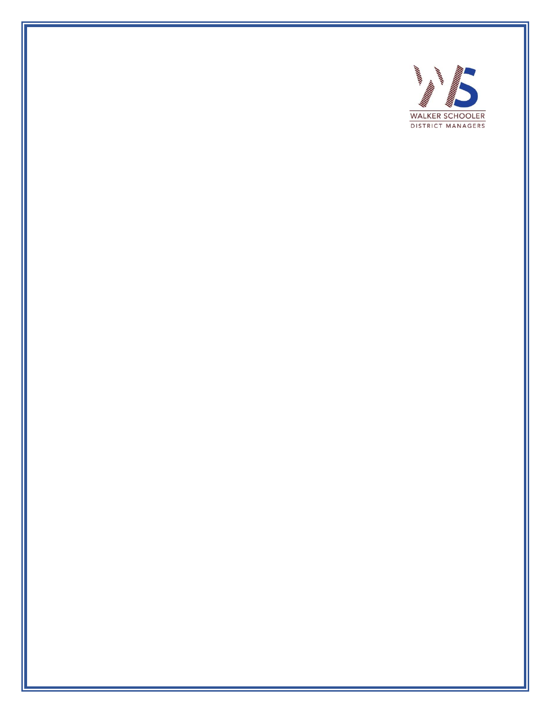